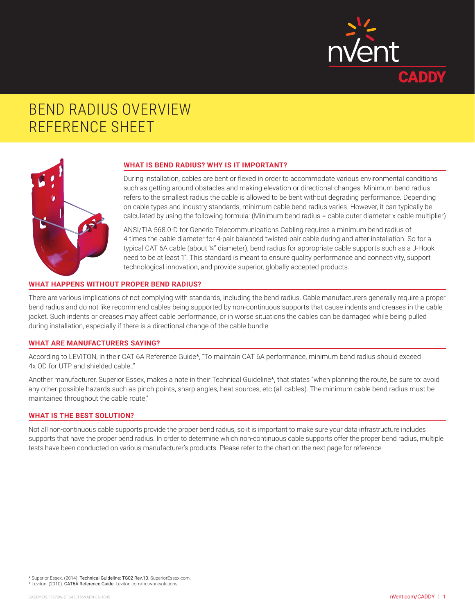

# BEND RADIUS OVERVIEW REFERENCE SHEET



## **WHAT IS BEND RADIUS? WHY IS IT IMPORTANT?**

During installation, cables are bent or flexed in order to accommodate various environmental conditions such as getting around obstacles and making elevation or directional changes. Minimum bend radius refers to the smallest radius the cable is allowed to be bent without degrading performance. Depending on cable types and industry standards, minimum cable bend radius varies. However, it can typically be calculated by using the following formula: (Minimum bend radius = cable outer diameter x cable multiplier)

ANSI/TIA 568.0-D for Generic Telecommunications Cabling requires a minimum bend radius of 4 times the cable diameter for 4-pair balanced twisted-pair cable during and after installation. So for a typical CAT 6A cable (about ¼" diameter), bend radius for appropriate cable supports such as a J-Hook need to be at least 1". This standard is meant to ensure quality performance and connectivity, support technological innovation, and provide superior, globally accepted products.

## **WHAT HAPPENS WITHOUT PROPER BEND RADIUS?**

There are various implications of not complying with standards, including the bend radius. Cable manufacturers generally require a proper bend radius and do not like recommend cables being supported by non-continuous supports that cause indents and creases in the cable jacket. Such indents or creases may affect cable performance, or in worse situations the cables can be damaged while being pulled during installation, especially if there is a directional change of the cable bundle.

## **WHAT ARE MANUFACTURERS SAYING?**

According to LEVITON, in their CAT 6A Reference Guide\*, "To maintain CAT 6A performance, minimum bend radius should exceed 4x OD for UTP and shielded cable.."

Another manufacturer, Superior Essex, makes a note in their Technical Guideline\*, that states "when planning the route, be sure to: avoid any other possible hazards such as pinch points, sharp angles, heat sources, etc (all cables). The minimum cable bend radius must be maintained throughout the cable route."

### **WHAT IS THE BEST SOLUTION?**

Not all non-continuous cable supports provide the proper bend radius, so it is important to make sure your data infrastructure includes supports that have the proper bend radius. In order to determine which non-continuous cable supports offer the proper bend radius, multiple tests have been conducted on various manufacturer's products. Please refer to the chart on the next page for reference.

\* Superior Essex. (2014). Technical Guideline: TG02 Rev.10. SuperiorEssex.com.

\* Leviton. (2010). CAT6A Reference Guide. Leviton.com/networksolutions.